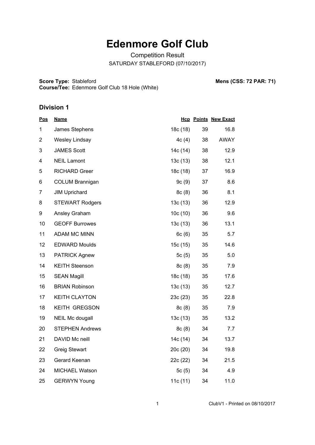# **Edenmore Golf Club**

Competition Result SATURDAY STABLEFORD (07/10/2017)

**Score Type: Course/Tee:** Stableford **Mens (CSS: 72 PAR: 71)** Edenmore Golf Club 18 Hole (White)

| <u>Pos</u>     | <u>Name</u>            |          |    | <b>Hcp Points New Exact</b> |
|----------------|------------------------|----------|----|-----------------------------|
| 1              | James Stephens         | 18c (18) | 39 | 16.8                        |
| $\overline{2}$ | <b>Wesley Lindsay</b>  | 4c(4)    | 38 | AWAY                        |
| 3              | <b>JAMES Scott</b>     | 14c (14) | 38 | 12.9                        |
| 4              | <b>NEIL Lamont</b>     | 13c(13)  | 38 | 12.1                        |
| 5              | <b>RICHARD Greer</b>   | 18c (18) | 37 | 16.9                        |
| 6              | <b>COLUM Brannigan</b> | 9c(9)    | 37 | 8.6                         |
| $\overline{7}$ | <b>JIM Uprichard</b>   | 8c(8)    | 36 | 8.1                         |
| 8              | <b>STEWART Rodgers</b> | 13c(13)  | 36 | 12.9                        |
| 9              | Ansley Graham          | 10c(10)  | 36 | 9.6                         |
| 10             | <b>GEOFF Burrowes</b>  | 13c(13)  | 36 | 13.1                        |
| 11             | ADAM MC MINN           | 6c(6)    | 35 | 5.7                         |
| 12             | <b>EDWARD Moulds</b>   | 15c (15) | 35 | 14.6                        |
| 13             | <b>PATRICK Agnew</b>   | 5 $c(5)$ | 35 | 5.0                         |
| 14             | <b>KEITH Steenson</b>  | 8c(8)    | 35 | 7.9                         |
| 15             | <b>SEAN Magill</b>     | 18c (18) | 35 | 17.6                        |
| 16             | <b>BRIAN Robinson</b>  | 13c(13)  | 35 | 12.7                        |
| 17             | <b>KEITH CLAYTON</b>   | 23c (23) | 35 | 22.8                        |
| 18             | <b>KEITH GREGSON</b>   | 8c(8)    | 35 | 7.9                         |
| 19             | <b>NEIL Mc dougall</b> | 13c(13)  | 35 | 13.2                        |
| 20             | <b>STEPHEN Andrews</b> | 8c(8)    | 34 | 7.7                         |
| 21             | DAVID Mc neill         | 14c (14) | 34 | 13.7                        |
| 22             | <b>Greig Stewart</b>   | 20c(20)  | 34 | 19.8                        |
| 23             | Gerard Keenan          | 22c (22) | 34 | 21.5                        |
| 24             | <b>MICHAEL Watson</b>  | 5 $c(5)$ | 34 | 4.9                         |
| 25             | <b>GERWYN Young</b>    | 11c (11) | 34 | 11.0                        |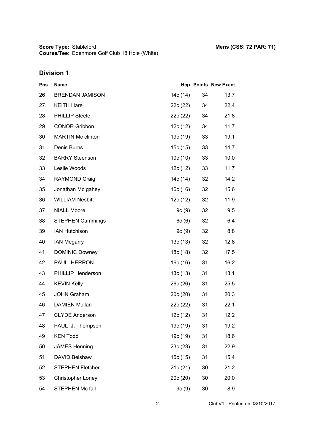| <u>Pos</u> | <b>Name</b>              |          |                 | <b>Hcp Points New Exact</b> |
|------------|--------------------------|----------|-----------------|-----------------------------|
| 26         | <b>BRENDAN JAMISON</b>   | 14c (14) | 34              | 13.7                        |
| 27         | <b>KEITH Hare</b>        | 22c (22) | 34              | 22.4                        |
| 28         | <b>PHILLIP Steele</b>    | 22c (22) | 34              | 21.8                        |
| 29         | <b>CONOR Gribbon</b>     | 12c (12) | 34              | 11.7                        |
| 30         | <b>MARTIN Mc clinton</b> | 19c (19) | 33              | 19.1                        |
| 31         | Denis Burns              | 15c (15) | 33              | 14.7                        |
| 32         | <b>BARRY Steenson</b>    | 10c(10)  | 33              | 10.0                        |
| 33         | Leslie Woods             | 12c (12) | 33              | 11.7                        |
| 34         | <b>RAYMOND Craig</b>     | 14c (14) | 32 <sup>2</sup> | 14.2                        |
| 35         | Jonathan Mc gahey        | 16c(16)  | 32              | 15.6                        |
| 36         | <b>WILLIAM Nesbitt</b>   | 12c (12) | 32 <sub>2</sub> | 11.9                        |
| 37         | <b>NIALL Moore</b>       | 9c (9)   | 32              | 9.5                         |
| 38         | <b>STEPHEN Cummings</b>  | 6c(6)    | 32              | 6.4                         |
| 39         | <b>IAN Hutchison</b>     | 9c(9)    | 32              | 8.8                         |
| 40         | <b>IAN Megarry</b>       | 13c (13) | 32              | 12.8                        |
| 41         | <b>DOMINIC Downey</b>    | 18c (18) | 32              | 17.5                        |
| 42         | PAUL HERRON              | 16c (16) | 31              | 16.2                        |
| 43         | PHILLIP Henderson        | 13c(13)  | 31              | 13.1                        |
| 44         | <b>KEVIN Kelly</b>       | 26c (26) | 31              | 25.5                        |
| 45         | <b>JOHN Graham</b>       | 20c (20) | 31              | 20.3                        |
| 46         | <b>DAMIEN Mullan</b>     | 22c (22) | 31              | 22.1                        |
| 47         | <b>CLYDE Anderson</b>    | 12c(12)  | 31              | 12.2                        |
| 48         | PAUL J. Thompson         | 19c (19) | 31              | 19.2                        |
| 49         | <b>KEN Todd</b>          | 19c (19) | 31              | 18.6                        |
| 50         | <b>JAMES Henning</b>     | 23c(23)  | 31              | 22.9                        |
| 51         | DAVID Belshaw            | 15c (15) | 31              | 15.4                        |
| 52         | <b>STEPHEN Fletcher</b>  | 21c (21) | 30              | 21.2                        |
| 53         | <b>Christopher Loney</b> | 20c(20)  | 30              | 20.0                        |
| 54         | STEPHEN Mc fall          | 9c(9)    | 30              | 8.9                         |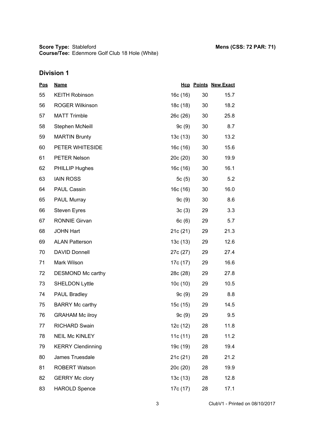| <u>Pos</u> | <b>Name</b>              |          |    | <b>Hcp Points New Exact</b> |
|------------|--------------------------|----------|----|-----------------------------|
| 55         | <b>KEITH Robinson</b>    | 16c(16)  | 30 | 15.7                        |
| 56         | <b>ROGER Wilkinson</b>   | 18c (18) | 30 | 18.2                        |
| 57         | <b>MATT Trimble</b>      | 26c (26) | 30 | 25.8                        |
| 58         | Stephen McNeill          | 9c(9)    | 30 | 8.7                         |
| 59         | <b>MARTIN Brunty</b>     | 13c(13)  | 30 | 13.2                        |
| 60         | PETER WHITESIDE          | 16c (16) | 30 | 15.6                        |
| 61         | <b>PETER Nelson</b>      | 20c(20)  | 30 | 19.9                        |
| 62         | <b>PHILLIP Hughes</b>    | 16c (16) | 30 | 16.1                        |
| 63         | <b>IAIN ROSS</b>         | 5c(5)    | 30 | 5.2                         |
| 64         | PAUL Cassin              | 16c(16)  | 30 | 16.0                        |
| 65         | PAUL Murray              | 9c(9)    | 30 | 8.6                         |
| 66         | <b>Steven Eyres</b>      | 3c(3)    | 29 | 3.3                         |
| 67         | <b>RONNIE Girvan</b>     | 6c(6)    | 29 | 5.7                         |
| 68         | <b>JOHN Hart</b>         | 21c(21)  | 29 | 21.3                        |
| 69         | <b>ALAN Patterson</b>    | 13c(13)  | 29 | 12.6                        |
| 70         | <b>DAVID Donnell</b>     | 27c (27) | 29 | 27.4                        |
| 71         | Mark Wilson              | 17c (17) | 29 | 16.6                        |
| 72         | DESMOND Mc carthy        | 28c (28) | 29 | 27.8                        |
| 73         | <b>SHELDON Lyttle</b>    | 10c(10)  | 29 | 10.5                        |
| 74         | <b>PAUL Bradley</b>      | 9c(9)    | 29 | 8.8                         |
| 75         | <b>BARRY Mc carthy</b>   | 15c (15) | 29 | 14.5                        |
| 76         | <b>GRAHAM Mc ilroy</b>   | 9c(9)    | 29 | 9.5                         |
| 77         | <b>RICHARD Swain</b>     | 12c (12) | 28 | 11.8                        |
| 78         | <b>NEIL Mc KINLEY</b>    | 11c(11)  | 28 | 11.2                        |
| 79         | <b>KERRY Clendinning</b> | 19c (19) | 28 | 19.4                        |
| 80         | James Truesdale          | 21c (21) | 28 | 21.2                        |
| 81         | <b>ROBERT Watson</b>     | 20c(20)  | 28 | 19.9                        |
| 82         | <b>GERRY Mc clory</b>    | 13c(13)  | 28 | 12.8                        |
| 83         | <b>HAROLD Spence</b>     | 17c (17) | 28 | 17.1                        |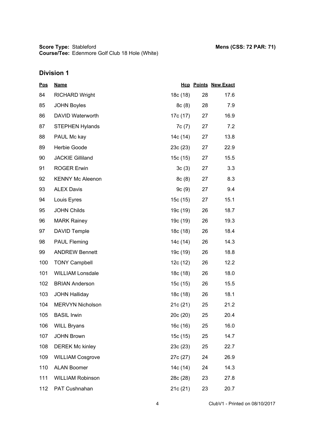## **Division 1**

| <b>Pos</b> | <b>Name</b>             |          |    | <b>Hcp Points New Exact</b> |
|------------|-------------------------|----------|----|-----------------------------|
| 84         | <b>RICHARD Wright</b>   | 18c (18) | 28 | 17.6                        |
| 85         | <b>JOHN Boyles</b>      | 8c(8)    | 28 | 7.9                         |
| 86         | DAVID Waterworth        | 17c (17) | 27 | 16.9                        |
| 87         | <b>STEPHEN Hylands</b>  | 7c (7)   | 27 | 7.2                         |
| 88         | PAUL Mc kay             | 14c (14) | 27 | 13.8                        |
| 89         | Herbie Goode            | 23c(23)  | 27 | 22.9                        |
| 90         | <b>JACKIE Gilliland</b> | 15c (15) | 27 | 15.5                        |
| 91         | <b>ROGER Erwin</b>      | 3c(3)    | 27 | 3.3                         |
| 92         | <b>KENNY Mc Aleenon</b> | 8c(8)    | 27 | 8.3                         |
| 93         | <b>ALEX Davis</b>       | 9c(9)    | 27 | 9.4                         |
| 94         | Louis Eyres             | 15c(15)  | 27 | 15.1                        |
| 95         | <b>JOHN Childs</b>      | 19c (19) | 26 | 18.7                        |
| 96         | <b>MARK Rainey</b>      | 19c (19) | 26 | 19.3                        |
| 97         | <b>DAVID Temple</b>     | 18c (18) | 26 | 18.4                        |
| 98         | <b>PAUL Fleming</b>     | 14c (14) | 26 | 14.3                        |
| 99         | <b>ANDREW Bennett</b>   | 19c (19) | 26 | 18.8                        |
| 100        | <b>TONY Campbell</b>    | 12c (12) | 26 | 12.2                        |
| 101        | <b>WILLIAM Lonsdale</b> | 18c (18) | 26 | 18.0                        |
| 102        | <b>BRIAN Anderson</b>   | 15c (15) | 26 | 15.5                        |
| 103        | <b>JOHN Halliday</b>    | 18c (18) | 26 | 18.1                        |
| 104        | MERVYN Nicholson        | 21c (21) | 25 | 21.2                        |
| 105        | <b>BASIL Irwin</b>      | 20c (20) | 25 | 20.4                        |
| 106        | <b>WILL Bryans</b>      | 16c (16) | 25 | 16.0                        |
| 107        | <b>JOHN Brown</b>       | 15c (15) | 25 | 14.7                        |
| 108        | <b>DEREK Mc kinley</b>  | 23c(23)  | 25 | 22.7                        |
| 109        | <b>WILLIAM Cosgrove</b> | 27c (27) | 24 | 26.9                        |
| 110        | <b>ALAN Boomer</b>      | 14c (14) | 24 | 14.3                        |
| 111        | <b>WILLIAM Robinson</b> | 28c (28) | 23 | 27.8                        |
| 112        | PAT Cushnahan           | 21c (21) | 23 | 20.7                        |

4 ClubV1 - Printed on 08/10/2017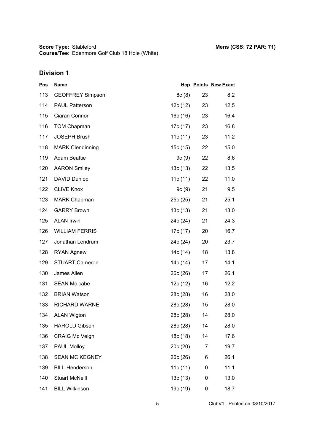| <u>Pos</u> | <b>Name</b>             |            |    | <b>Hcp Points New Exact</b> |
|------------|-------------------------|------------|----|-----------------------------|
| 113        | <b>GEOFFREY Simpson</b> | 8c(8)      | 23 | 8.2                         |
| 114        | <b>PAUL Patterson</b>   | 12c (12)   | 23 | 12.5                        |
| 115        | Ciaran Connor           | 16c(16)    | 23 | 16.4                        |
| 116        | <b>TOM Chapman</b>      | 17c (17)   | 23 | 16.8                        |
| 117        | <b>JOSEPH Brush</b>     | 11c (11)   | 23 | 11.2                        |
| 118        | <b>MARK Clendinning</b> | 15c (15)   | 22 | 15.0                        |
| 119        | <b>Adam Beattie</b>     | 9c(9)      | 22 | 8.6                         |
| 120        | <b>AARON Smiley</b>     | 13c (13)   | 22 | 13.5                        |
| 121        | DAVID Dunlop            | 11c $(11)$ | 22 | 11.0                        |
| 122        | <b>CLIVE Knox</b>       | 9c(9)      | 21 | 9.5                         |
| 123        | <b>MARK Chapman</b>     | 25c (25)   | 21 | 25.1                        |
| 124        | <b>GARRY Brown</b>      | 13c(13)    | 21 | 13.0                        |
| 125        | <b>ALAN Irwin</b>       | 24c (24)   | 21 | 24.3                        |
| 126        | <b>WILLIAM FERRIS</b>   | 17c (17)   | 20 | 16.7                        |
| 127        | Jonathan Lendrum        | 24c (24)   | 20 | 23.7                        |
| 128        | <b>RYAN Agnew</b>       | 14c (14)   | 18 | 13.8                        |
| 129        | <b>STUART Cameron</b>   | 14c (14)   | 17 | 14.1                        |
| 130        | James Allen             | 26c (26)   | 17 | 26.1                        |
| 131        | SEAN Mc cabe            | 12c (12)   | 16 | 12.2                        |
| 132        | <b>BRIAN Watson</b>     | 28c (28)   | 16 | 28.0                        |
| 133        | <b>RICHARD WARNE</b>    | 28c (28)   | 15 | 28.0                        |
| 134        | <b>ALAN Wigton</b>      | 28c (28)   | 14 | 28.0                        |
| 135        | <b>HAROLD Gibson</b>    | 28c (28)   | 14 | 28.0                        |
| 136        | <b>CRAIG Mc Veigh</b>   | 18c (18)   | 14 | 17.6                        |
| 137        | PAUL Molloy             | 20c (20)   | 7  | 19.7                        |
| 138        | <b>SEAN MC KEGNEY</b>   | 26c (26)   | 6  | 26.1                        |
| 139        | <b>BILL Henderson</b>   | 11c (11)   | 0  | 11.1                        |
| 140        | <b>Stuart McNeill</b>   | 13c(13)    | 0  | 13.0                        |
| 141        | <b>BILL Wilkinson</b>   | 19c (19)   | 0  | 18.7                        |